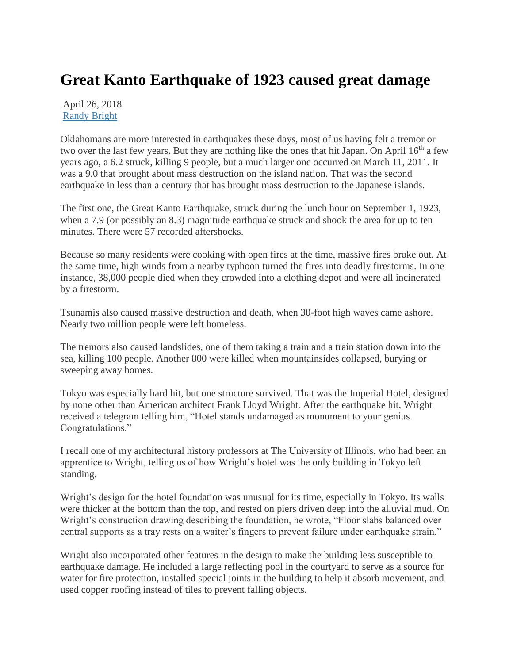## **Great Kanto Earthquake of 1923 caused great damage**

April 26, 2018 [Randy Bright](http://tulsabeacon.com/author/randy-bright/)

Oklahomans are more interested in earthquakes these days, most of us having felt a tremor or two over the last few years. But they are nothing like the ones that hit Japan. On April 16<sup>th</sup> a few years ago, a 6.2 struck, killing 9 people, but a much larger one occurred on March 11, 2011. It was a 9.0 that brought about mass destruction on the island nation. That was the second earthquake in less than a century that has brought mass destruction to the Japanese islands.

The first one, the Great Kanto Earthquake, struck during the lunch hour on September 1, 1923, when a 7.9 (or possibly an 8.3) magnitude earthquake struck and shook the area for up to ten minutes. There were 57 recorded aftershocks.

Because so many residents were cooking with open fires at the time, massive fires broke out. At the same time, high winds from a nearby typhoon turned the fires into deadly firestorms. In one instance, 38,000 people died when they crowded into a clothing depot and were all incinerated by a firestorm.

Tsunamis also caused massive destruction and death, when 30-foot high waves came ashore. Nearly two million people were left homeless.

The tremors also caused landslides, one of them taking a train and a train station down into the sea, killing 100 people. Another 800 were killed when mountainsides collapsed, burying or sweeping away homes.

Tokyo was especially hard hit, but one structure survived. That was the Imperial Hotel, designed by none other than American architect Frank Lloyd Wright. After the earthquake hit, Wright received a telegram telling him, "Hotel stands undamaged as monument to your genius. Congratulations."

I recall one of my architectural history professors at The University of Illinois, who had been an apprentice to Wright, telling us of how Wright's hotel was the only building in Tokyo left standing.

Wright's design for the hotel foundation was unusual for its time, especially in Tokyo. Its walls were thicker at the bottom than the top, and rested on piers driven deep into the alluvial mud. On Wright's construction drawing describing the foundation, he wrote, "Floor slabs balanced over central supports as a tray rests on a waiter's fingers to prevent failure under earthquake strain."

Wright also incorporated other features in the design to make the building less susceptible to earthquake damage. He included a large reflecting pool in the courtyard to serve as a source for water for fire protection, installed special joints in the building to help it absorb movement, and used copper roofing instead of tiles to prevent falling objects.